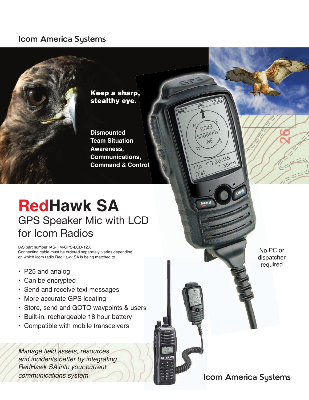#### **Icom America Systems**



# **RedHawk SA** GPS Speaker Mic with LCD for Icom Radios

IAS part number IAS-HM-GPS-LCD-1ZX Connecting cable must be ordered separately, varies depending on which Icom radio RedHawk SA is being matched to

- P25 and analog
- Can be encrypted
- Send and receive text messages
- More accurate GPS locating
- Store, send and GOTO waypoints & users
- Built-in, rechargeable 18 hour battery
- Compatible with mobile transceivers

Manage field assets, resources and incidents better by integrating RedHawk SA into your current communications system.

No PC or dispatcher required

### **Icom America Systems**